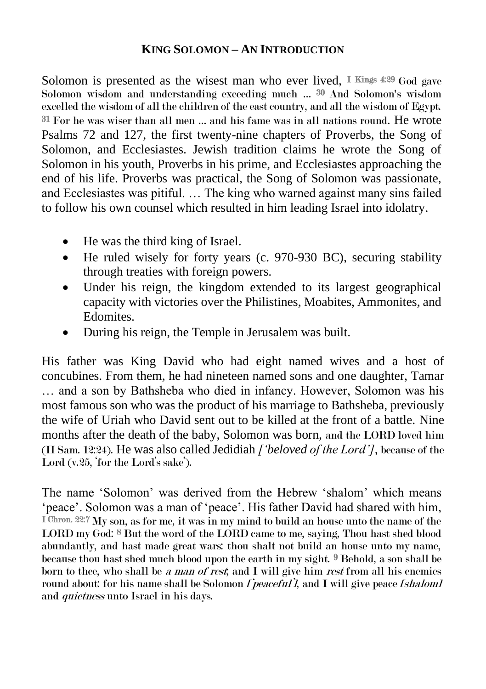## **KING SOLOMON – AN INTRODUCTION**

Solomon is presented as the wisest man who ever lived, I Kings  $4:29$  God gave Solomon wisdom and understanding exceeding much … 30 And Solomon's wisdom excelled the wisdom of all the children of the east country, and all the wisdom of Egypt. 31 For he was wiser than all men … and his fame was in all nations round. He wrote Psalms 72 and 127, the first twenty-nine chapters of Proverbs, the Song of Solomon, and Ecclesiastes. Jewish tradition claims he wrote the Song of Solomon in his youth, Proverbs in his prime, and Ecclesiastes approaching the end of his life. Proverbs was practical, the Song of Solomon was passionate, and Ecclesiastes was pitiful. … The king who warned against many sins failed to follow his own counsel which resulted in him leading Israel into idolatry.

- He was the third king of Israel.
- He ruled wisely for forty years (c. 970-930 BC), securing stability through treaties with foreign powers.
- Under his reign, the kingdom extended to its largest geographical capacity with victories over the Philistines, Moabites, Ammonites, and Edomites.
- During his reign, the Temple in Jerusalem was built.

His father was King David who had eight named wives and a host of concubines. From them, he had nineteen named sons and one daughter, Tamar … and a son by Bathsheba who died in infancy. However, Solomon was his most famous son who was the product of his marriage to Bathsheba, previously the wife of Uriah who David sent out to be killed at the front of a battle. Nine months after the death of the baby, Solomon was born, and the LORD loved him (II Sam. 12:24). He was also called Jedidiah *['beloved of the Lord']*, because of the Lord (v.25, 'for the Lord's sake').

The name 'Solomon' was derived from the Hebrew 'shalom' which means 'peace'. Solomon was a man of 'peace'. His father David had shared with him, I Chron. 22:7 My son, as for me, it was in my mind to build an house unto the name of the LORD my God: 8 But the word of the LORD came to me, saying, Thou hast shed blood abundantly, and hast made great wars: thou shalt not build an house unto my name, because thou hast shed much blood upon the earth in my sight. 9 Behold, a son shall be born to thee, who shall be a man of rest, and I will give him rest from all his enemies round about: for his name shall be Solomon  $I$  *peaceful*<sup>'</sup>, and I will give peace *[shalom]* and *quietness* unto Israel in his days.